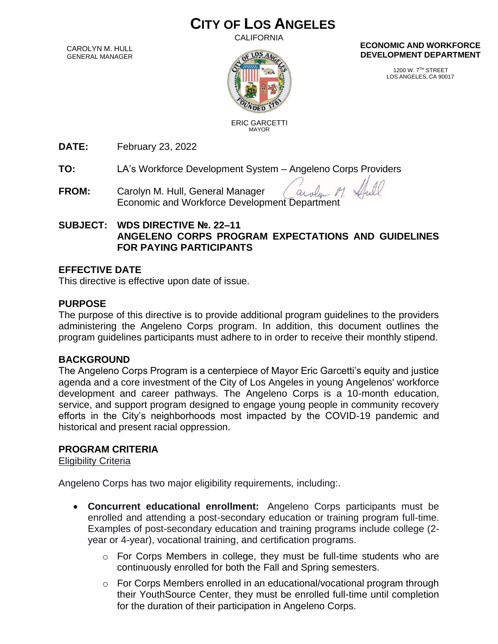# **CITY OF LOS ANGELES**

**CALIFORNIA** 

CAROLYN M. HULL GENERAL MANAGER



**ECONOMIC AND WORKFORCE DEVELOPMENT DEPARTMENT**

> 1200 W. 7TH STREET LOS ANGELES, CA 90017

ERIC GARCETTI MAYOR

**DATE:** February 23, 2022

**TO:** LA's Workforce Development System – Angeleno Corps Providers

**FROM:** Carolyn M. Hull, General Manager  $\alpha$ Economic and Workforce Development Department

## **SUBJECT: WDS DIRECTIVE №. 22–11 ANGELENO CORPS PROGRAM EXPECTATIONS AND GUIDELINES FOR PAYING PARTICIPANTS**

# **EFFECTIVE DATE**

This directive is effective upon date of issue.

# **PURPOSE**

The purpose of this directive is to provide additional program guidelines to the providers administering the Angeleno Corps program. In addition, this document outlines the program guidelines participants must adhere to in order to receive their monthly stipend.

## **BACKGROUND**

The Angeleno Corps Program is a centerpiece of Mayor Eric Garcetti's equity and justice agenda and a core investment of the City of Los Angeles in young Angelenos' workforce development and career pathways. The Angeleno Corps is a 10-month education, service, and support program designed to engage young people in community recovery efforts in the City's neighborhoods most impacted by the COVID-19 pandemic and historical and present racial oppression.

# **PROGRAM CRITERIA**

Eligibility Criteria

Angeleno Corps has two major eligibility requirements, including:.

- **Concurrent educational enrollment:** Angeleno Corps participants must be enrolled and attending a post-secondary education or training program full-time. Examples of post-secondary education and training programs include college (2 year or 4-year), vocational training, and certification programs.
	- o For Corps Members in college, they must be full-time students who are continuously enrolled for both the Fall and Spring semesters.
	- o For Corps Members enrolled in an educational/vocational program through their YouthSource Center, they must be enrolled full-time until completion for the duration of their participation in Angeleno Corps.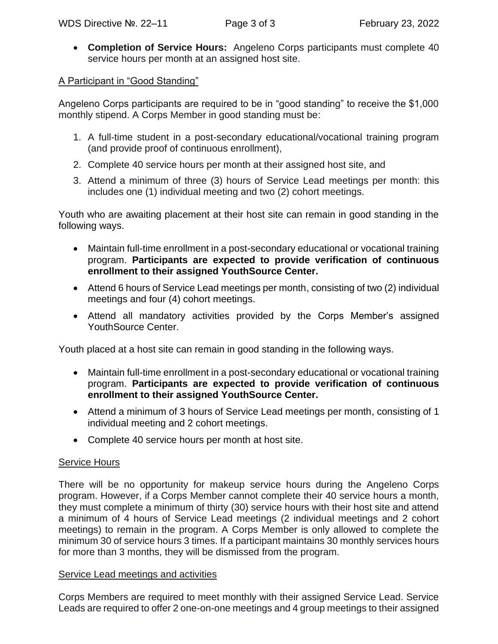• **Completion of Service Hours:** Angeleno Corps participants must complete 40 service hours per month at an assigned host site.

A Participant in "Good Standing"

Angeleno Corps participants are required to be in "good standing" to receive the \$1,000 monthly stipend. A Corps Member in good standing must be:

- 1. A full-time student in a post-secondary educational/vocational training program (and provide proof of continuous enrollment),
- 2. Complete 40 service hours per month at their assigned host site, and
- 3. Attend a minimum of three (3) hours of Service Lead meetings per month: this includes one (1) individual meeting and two (2) cohort meetings.

Youth who are awaiting placement at their host site can remain in good standing in the following ways.

- Maintain full-time enrollment in a post-secondary educational or vocational training program. **Participants are expected to provide verification of continuous enrollment to their assigned YouthSource Center.**
- Attend 6 hours of Service Lead meetings per month, consisting of two (2) individual meetings and four (4) cohort meetings.
- Attend all mandatory activities provided by the Corps Member's assigned YouthSource Center.

Youth placed at a host site can remain in good standing in the following ways.

- Maintain full-time enrollment in a post-secondary educational or vocational training program. **Participants are expected to provide verification of continuous enrollment to their assigned YouthSource Center.**
- Attend a minimum of 3 hours of Service Lead meetings per month, consisting of 1 individual meeting and 2 cohort meetings.
- Complete 40 service hours per month at host site.

## Service Hours

There will be no opportunity for makeup service hours during the Angeleno Corps program. However, if a Corps Member cannot complete their 40 service hours a month, they must complete a minimum of thirty (30) service hours with their host site and attend a minimum of 4 hours of Service Lead meetings (2 individual meetings and 2 cohort meetings) to remain in the program. A Corps Member is only allowed to complete the minimum 30 of service hours 3 times. If a participant maintains 30 monthly services hours for more than 3 months, they will be dismissed from the program.

## Service Lead meetings and activities

Corps Members are required to meet monthly with their assigned Service Lead. Service Leads are required to offer 2 one-on-one meetings and 4 group meetings to their assigned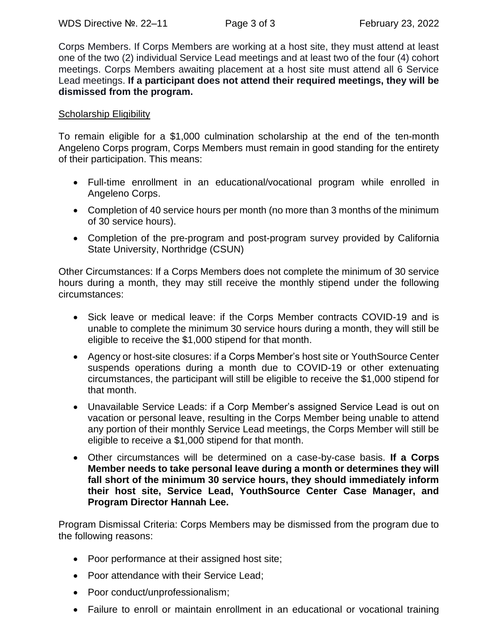Corps Members. If Corps Members are working at a host site, they must attend at least one of the two (2) individual Service Lead meetings and at least two of the four (4) cohort meetings. Corps Members awaiting placement at a host site must attend all 6 Service Lead meetings. **If a participant does not attend their required meetings, they will be dismissed from the program.**

#### **Scholarship Eligibility**

To remain eligible for a \$1,000 culmination scholarship at the end of the ten-month Angeleno Corps program, Corps Members must remain in good standing for the entirety of their participation. This means:

- Full-time enrollment in an educational/vocational program while enrolled in Angeleno Corps.
- Completion of 40 service hours per month (no more than 3 months of the minimum of 30 service hours).
- Completion of the pre-program and post-program survey provided by California State University, Northridge (CSUN)

Other Circumstances: If a Corps Members does not complete the minimum of 30 service hours during a month, they may still receive the monthly stipend under the following circumstances:

- Sick leave or medical leave: if the Corps Member contracts COVID-19 and is unable to complete the minimum 30 service hours during a month, they will still be eligible to receive the \$1,000 stipend for that month.
- Agency or host-site closures: if a Corps Member's host site or YouthSource Center suspends operations during a month due to COVID-19 or other extenuating circumstances, the participant will still be eligible to receive the \$1,000 stipend for that month.
- Unavailable Service Leads: if a Corp Member's assigned Service Lead is out on vacation or personal leave, resulting in the Corps Member being unable to attend any portion of their monthly Service Lead meetings, the Corps Member will still be eligible to receive a \$1,000 stipend for that month.
- Other circumstances will be determined on a case-by-case basis. **If a Corps Member needs to take personal leave during a month or determines they will fall short of the minimum 30 service hours, they should immediately inform their host site, Service Lead, YouthSource Center Case Manager, and Program Director Hannah Lee.**

Program Dismissal Criteria: Corps Members may be dismissed from the program due to the following reasons:

- Poor performance at their assigned host site;
- Poor attendance with their Service Lead;
- Poor conduct/unprofessionalism;
- Failure to enroll or maintain enrollment in an educational or vocational training